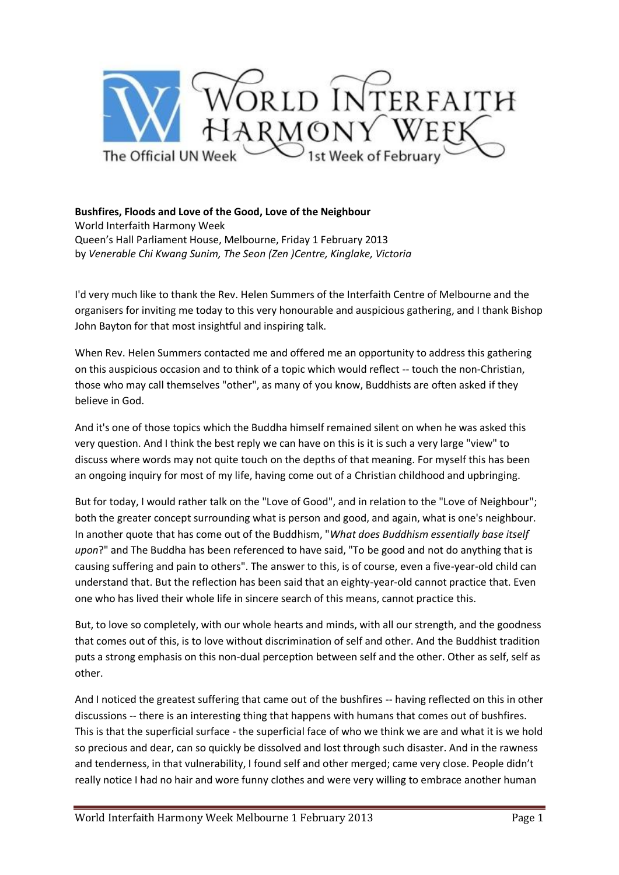

## **Bushfires, Floods and Love of the Good, Love of the Neighbour**  World Interfaith Harmony Week

Queen's Hall Parliament House, Melbourne, Friday 1 February 2013 by *Venerable Chi Kwang Sunim, The Seon (Zen )Centre, Kinglake, Victoria*

I'd very much like to thank the Rev. Helen Summers of the Interfaith Centre of Melbourne and the organisers for inviting me today to this very honourable and auspicious gathering, and I thank Bishop John Bayton for that most insightful and inspiring talk.

When Rev. Helen Summers contacted me and offered me an opportunity to address this gathering on this auspicious occasion and to think of a topic which would reflect -- touch the non-Christian, those who may call themselves "other", as many of you know, Buddhists are often asked if they believe in God.

And it's one of those topics which the Buddha himself remained silent on when he was asked this very question. And I think the best reply we can have on this is it is such a very large "view" to discuss where words may not quite touch on the depths of that meaning. For myself this has been an ongoing inquiry for most of my life, having come out of a Christian childhood and upbringing.

But for today, I would rather talk on the "Love of Good", and in relation to the "Love of Neighbour"; both the greater concept surrounding what is person and good, and again, what is one's neighbour. In another quote that has come out of the Buddhism, "*What does Buddhism essentially base itself upon*?" and The Buddha has been referenced to have said, "To be good and not do anything that is causing suffering and pain to others". The answer to this, is of course, even a five-year-old child can understand that. But the reflection has been said that an eighty-year-old cannot practice that. Even one who has lived their whole life in sincere search of this means, cannot practice this.

But, to love so completely, with our whole hearts and minds, with all our strength, and the goodness that comes out of this, is to love without discrimination of self and other. And the Buddhist tradition puts a strong emphasis on this non-dual perception between self and the other. Other as self, self as other.

And I noticed the greatest suffering that came out of the bushfires -- having reflected on this in other discussions -- there is an interesting thing that happens with humans that comes out of bushfires. This is that the superficial surface - the superficial face of who we think we are and what it is we hold so precious and dear, can so quickly be dissolved and lost through such disaster. And in the rawness and tenderness, in that vulnerability, I found self and other merged; came very close. People didn't really notice I had no hair and wore funny clothes and were very willing to embrace another human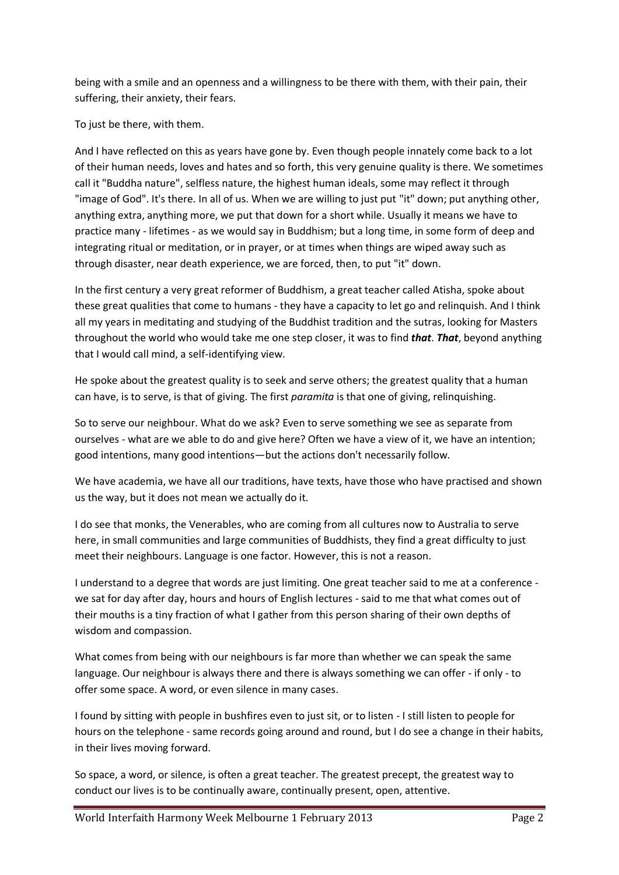being with a smile and an openness and a willingness to be there with them, with their pain, their suffering, their anxiety, their fears.

To just be there, with them.

And I have reflected on this as years have gone by. Even though people innately come back to a lot of their human needs, loves and hates and so forth, this very genuine quality is there. We sometimes call it "Buddha nature", selfless nature, the highest human ideals, some may reflect it through "image of God". It's there. In all of us. When we are willing to just put "it" down; put anything other, anything extra, anything more, we put that down for a short while. Usually it means we have to practice many - lifetimes - as we would say in Buddhism; but a long time, in some form of deep and integrating ritual or meditation, or in prayer, or at times when things are wiped away such as through disaster, near death experience, we are forced, then, to put "it" down.

In the first century a very great reformer of Buddhism, a great teacher called Atisha, spoke about these great qualities that come to humans - they have a capacity to let go and relinquish. And I think all my years in meditating and studying of the Buddhist tradition and the sutras, looking for Masters throughout the world who would take me one step closer, it was to find *that*. *That*, beyond anything that I would call mind, a self-identifying view.

He spoke about the greatest quality is to seek and serve others; the greatest quality that a human can have, is to serve, is that of giving. The first *paramita* is that one of giving, relinquishing.

So to serve our neighbour. What do we ask? Even to serve something we see as separate from ourselves - what are we able to do and give here? Often we have a view of it, we have an intention; good intentions, many good intentions—but the actions don't necessarily follow.

We have academia, we have all our traditions, have texts, have those who have practised and shown us the way, but it does not mean we actually do it.

I do see that monks, the Venerables, who are coming from all cultures now to Australia to serve here, in small communities and large communities of Buddhists, they find a great difficulty to just meet their neighbours. Language is one factor. However, this is not a reason.

I understand to a degree that words are just limiting. One great teacher said to me at a conference we sat for day after day, hours and hours of English lectures - said to me that what comes out of their mouths is a tiny fraction of what I gather from this person sharing of their own depths of wisdom and compassion.

What comes from being with our neighbours is far more than whether we can speak the same language. Our neighbour is always there and there is always something we can offer - if only - to offer some space. A word, or even silence in many cases.

I found by sitting with people in bushfires even to just sit, or to listen - I still listen to people for hours on the telephone - same records going around and round, but I do see a change in their habits, in their lives moving forward.

So space, a word, or silence, is often a great teacher. The greatest precept, the greatest way to conduct our lives is to be continually aware, continually present, open, attentive.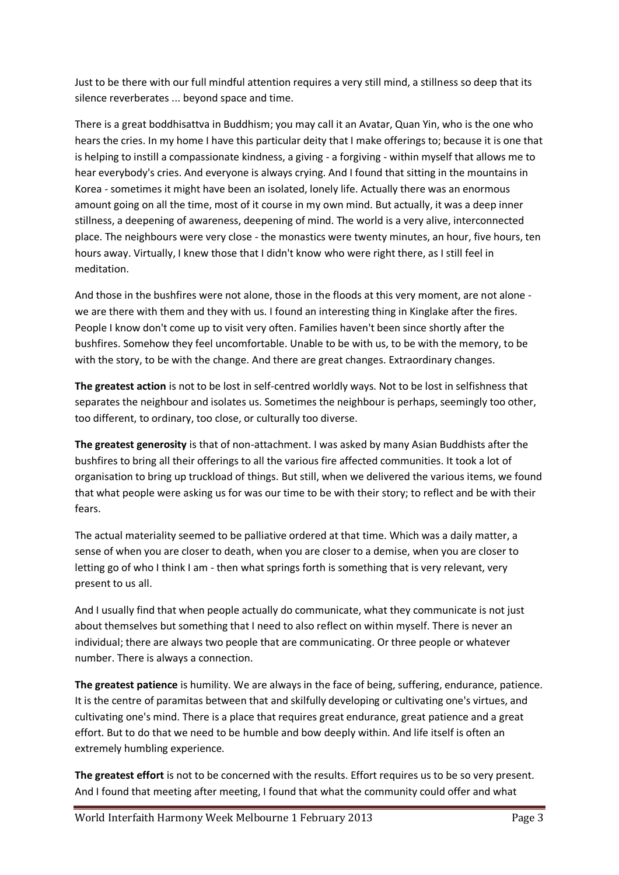Just to be there with our full mindful attention requires a very still mind, a stillness so deep that its silence reverberates ... beyond space and time.

There is a great boddhisattva in Buddhism; you may call it an Avatar, Quan Yin, who is the one who hears the cries. In my home I have this particular deity that I make offerings to; because it is one that is helping to instill a compassionate kindness, a giving - a forgiving - within myself that allows me to hear everybody's cries. And everyone is always crying. And I found that sitting in the mountains in Korea - sometimes it might have been an isolated, lonely life. Actually there was an enormous amount going on all the time, most of it course in my own mind. But actually, it was a deep inner stillness, a deepening of awareness, deepening of mind. The world is a very alive, interconnected place. The neighbours were very close - the monastics were twenty minutes, an hour, five hours, ten hours away. Virtually, I knew those that I didn't know who were right there, as I still feel in meditation.

And those in the bushfires were not alone, those in the floods at this very moment, are not alone we are there with them and they with us. I found an interesting thing in Kinglake after the fires. People I know don't come up to visit very often. Families haven't been since shortly after the bushfires. Somehow they feel uncomfortable. Unable to be with us, to be with the memory, to be with the story, to be with the change. And there are great changes. Extraordinary changes.

**The greatest action** is not to be lost in self-centred worldly ways. Not to be lost in selfishness that separates the neighbour and isolates us. Sometimes the neighbour is perhaps, seemingly too other, too different, to ordinary, too close, or culturally too diverse.

**The greatest generosity** is that of non-attachment. I was asked by many Asian Buddhists after the bushfires to bring all their offerings to all the various fire affected communities. It took a lot of organisation to bring up truckload of things. But still, when we delivered the various items, we found that what people were asking us for was our time to be with their story; to reflect and be with their fears.

The actual materiality seemed to be palliative ordered at that time. Which was a daily matter, a sense of when you are closer to death, when you are closer to a demise, when you are closer to letting go of who I think I am - then what springs forth is something that is very relevant, very present to us all.

And I usually find that when people actually do communicate, what they communicate is not just about themselves but something that I need to also reflect on within myself. There is never an individual; there are always two people that are communicating. Or three people or whatever number. There is always a connection.

**The greatest patience** is humility. We are always in the face of being, suffering, endurance, patience. It is the centre of paramitas between that and skilfully developing or cultivating one's virtues, and cultivating one's mind. There is a place that requires great endurance, great patience and a great effort. But to do that we need to be humble and bow deeply within. And life itself is often an extremely humbling experience.

**The greatest effort** is not to be concerned with the results. Effort requires us to be so very present. And I found that meeting after meeting, I found that what the community could offer and what